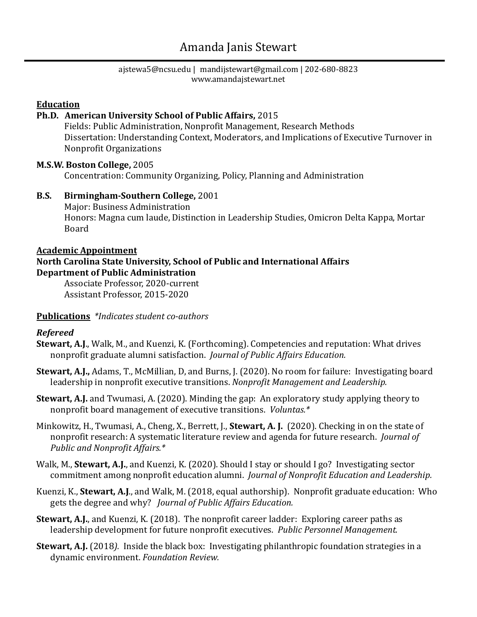# Amanda Janis Stewart

ajstewa5@ncsu.edu | mandijstewart@gmail.com | 202-680-8823 www.amandajstewart.net

#### **Education**

#### **Ph.D.** American University School of Public Affairs, 2015

Fields: Public Administration, Nonprofit Management, Research Methods Dissertation: Understanding Context, Moderators, and Implications of Executive Turnover in Nonprofit Organizations

#### **M.S.W. Boston College,** 2005

Concentration: Community Organizing, Policy, Planning and Administration

#### **B.S. Birmingham-Southern College,** 2001

Major: Business Administration Honors: Magna cum laude, Distinction in Leadership Studies, Omicron Delta Kappa, Mortar Board

### **Academic Appointment**

#### **North Carolina State University, School of Public and International Affairs Department of Public Administration**

Associate Professor, 2020-current Assistant Professor, 2015-2020

#### **Publications** \*Indicates student co-authors

#### *Refereed*

- **Stewart, A.J.,** Walk, M., and Kuenzi, K. (Forthcoming). Competencies and reputation: What drives nonprofit graduate alumni satisfaction. *Journal of Public Affairs Education.*
- Stewart, A.J., Adams, T., McMillian, D, and Burns, J. (2020). No room for failure: Investigating board leadership in nonprofit executive transitions. *Nonprofit Management and Leadership.*
- **Stewart, A.J.** and Twumasi, A. (2020). Minding the gap: An exploratory study applying theory to nonprofit board management of executive transitions. *Voluntas.*\*
- Minkowitz, H., Twumasi, A., Cheng, X., Berrett, J., **Stewart, A. J.** (2020). Checking in on the state of nonprofit research: A systematic literature review and agenda for future research. *Journal of Public and Nonprofit Affairs.\**
- Walk, M., **Stewart, A.J.**, and Kuenzi, K. (2020). Should I stay or should I go? Investigating sector commitment among nonprofit education alumni. Journal of Nonprofit Education and Leadership.
- Kuenzi, K., **Stewart, A.J.**, and Walk, M. (2018, equal authorship). Nonprofit graduate education: Who gets the degree and why? *Journal of Public Affairs Education.*
- **Stewart, A.J.**, and Kuenzi, K. (2018). The nonprofit career ladder: Exploring career paths as leadership development for future nonprofit executives. *Public Personnel Management.*
- **Stewart, A.J.** (2018). Inside the black box: Investigating philanthropic foundation strategies in a dynamic environment. *Foundation Review.*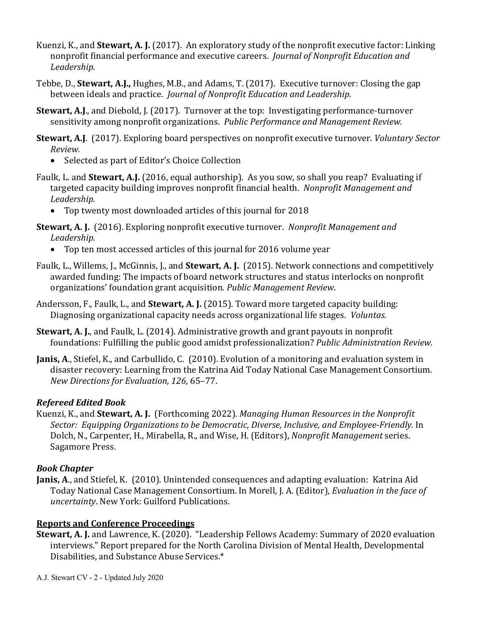- Kuenzi, K., and **Stewart, A. J.** (2017). An exploratory study of the nonprofit executive factor: Linking nonprofit financial performance and executive careers. *Journal of Nonprofit Education and Leadership.*
- Tebbe, D., **Stewart, A.J.,** Hughes, M.B., and Adams, T. (2017). Executive turnover: Closing the gap between ideals and practice. *Journal of Nonprofit Education and Leadership.*
- **Stewart, A.J.,** and Diebold, J. (2017). Turnover at the top: Investigating performance-turnover sensitivity among nonprofit organizations. Public Performance and Management Review.
- **Stewart, A.J.** (2017). Exploring board perspectives on nonprofit executive turnover. *Voluntary Sector Review.* 
	- Selected as part of Editor's Choice Collection
- Faulk, L. and **Stewart, A.J.** (2016, equal authorship). As you sow, so shall you reap? Evaluating if targeted capacity building improves nonprofit financial health. Nonprofit Management and *Leadership.*
	- Top twenty most downloaded articles of this journal for 2018
- **Stewart, A. J.** (2016). Exploring nonprofit executive turnover. Nonprofit Management and *Leadership.*
	- Top ten most accessed articles of this journal for 2016 volume year
- Faulk, L., Willems, J., McGinnis, J., and **Stewart, A. J.** (2015). Network connections and competitively awarded funding: The impacts of board network structures and status interlocks on nonprofit organizations' foundation grant acquisition. Public Management Review.
- Andersson, F., Faulk, L., and **Stewart, A. J.** (2015). Toward more targeted capacity building: Diagnosing organizational capacity needs across organizational life stages. *Voluntas.*
- **Stewart, A. J., and Faulk, L. (2014).** Administrative growth and grant payouts in nonprofit foundations: Fulfilling the public good amidst professionalization? *Public Administration Review*.
- **Janis, A., Stiefel, K., and Carbullido, C. (2010). Evolution of a monitoring and evaluation system in** disaster recovery: Learning from the Katrina Aid Today National Case Management Consortium. *New Directions for Evaluation*, *126*, 65–77.

### *Refereed Edited Book*

Kuenzi, K., and **Stewart, A. J.** (Forthcoming 2022). *Managing Human Resources in the Nonprofit Sector: Equipping Organizations to be Democratic, Diverse, Inclusive, and Employee-Friendly.* In Dolch, N., Carpenter, H., Mirabella, R., and Wise, H. (Editors), *Nonprofit Management* series. Sagamore Press.

### *Book Chapter*

**Janis, A., and Stiefel, K.** (2010). Unintended consequences and adapting evaluation: Katrina Aid Today National Case Management Consortium. In Morell, J. A. (Editor), *Evaluation in the face of uncertainty*. New York: Guilford Publications. 

## **Reports and Conference Proceedings**

**Stewart, A. J.** and Lawrence, K. (2020). "Leadership Fellows Academy: Summary of 2020 evaluation interviews." Report prepared for the North Carolina Division of Mental Health, Developmental Disabilities, and Substance Abuse Services.\*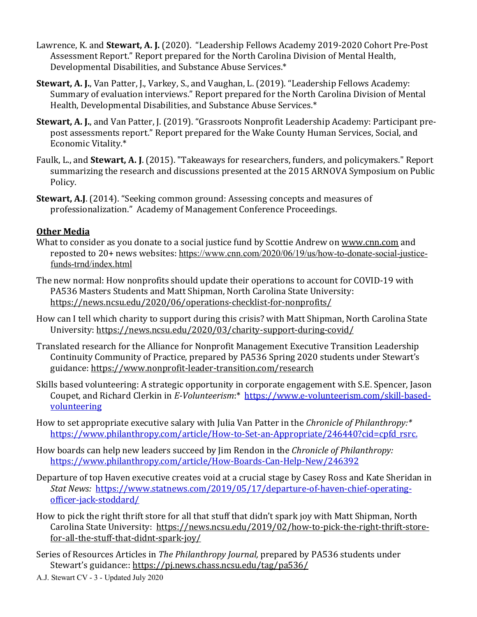- Lawrence, K. and **Stewart, A. J.** (2020). "Leadership Fellows Academy 2019-2020 Cohort Pre-Post Assessment Report." Report prepared for the North Carolina Division of Mental Health, Developmental Disabilities, and Substance Abuse Services.\*
- **Stewart, A. J.**, Van Patter, J., Varkey, S., and Vaughan, L. (2019). "Leadership Fellows Academy: Summary of evaluation interviews." Report prepared for the North Carolina Division of Mental Health, Developmental Disabilities, and Substance Abuse Services.\*
- Stewart, A. J., and Van Patter, J. (2019). "Grassroots Nonprofit Leadership Academy: Participant prepost assessments report." Report prepared for the Wake County Human Services, Social, and Economic Vitality.\*
- Faulk, L., and **Stewart, A. J.** (2015). "Takeaways for researchers, funders, and policymakers." Report summarizing the research and discussions presented at the 2015 ARNOVA Symposium on Public Policy.
- **Stewart, A.J.** (2014). "Seeking common ground: Assessing concepts and measures of professionalization." Academy of Management Conference Proceedings.

### **Other Media**

- What to consider as you donate to a social justice fund by Scottie Andrew on www.cnn.com and reposted to 20+ news websites: https://www.cnn.com/2020/06/19/us/how-to-donate-social-justicefunds-trnd/index.html
- The new normal: How nonprofits should update their operations to account for COVID-19 with PA536 Masters Students and Matt Shipman, North Carolina State University: https://news.ncsu.edu/2020/06/operations-checklist-for-nonprofits/
- How can I tell which charity to support during this crisis? with Matt Shipman, North Carolina State University: https://news.ncsu.edu/2020/03/charity-support-during-covid/
- Translated research for the Alliance for Nonprofit Management Executive Transition Leadership Continuity Community of Practice, prepared by PA536 Spring 2020 students under Stewart's guidance: https://www.nonprofit-leader-transition.com/research
- Skills based volunteering: A strategic opportunity in corporate engagement with S.E. Spencer, Jason Coupet, and Richard Clerkin in E-Volunteerism:\* https://www.e-volunteerism.com/skill-basedvolunteering
- How to set appropriate executive salary with Julia Van Patter in the *Chronicle of Philanthropy:*\* https://www.philanthropy.com/article/How-to-Set-an-Appropriate/246440?cid=cpfd\_rsrc.
- How boards can help new leaders succeed by Jim Rendon in the *Chronicle of Philanthropy:* https://www.philanthropy.com/article/How-Boards-Can-Help-New/246392
- Departure of top Haven executive creates void at a crucial stage by Casey Ross and Kate Sheridan in *Stat News:* https://www.statnews.com/2019/05/17/departure-of-haven-chief-operatingofficer-jack-stoddard/
- How to pick the right thrift store for all that stuff that didn't spark joy with Matt Shipman, North Carolina State University: https://news.ncsu.edu/2019/02/how-to-pick-the-right-thrift-storefor-all-the-stuff-that-didnt-spark-joy/
- Series of Resources Articles in *The Philanthropy Journal*, prepared by PA536 students under Stewart's guidance:: https://pj.news.chass.ncsu.edu/tag/pa536/
- A.J. Stewart CV 3 Updated July 2020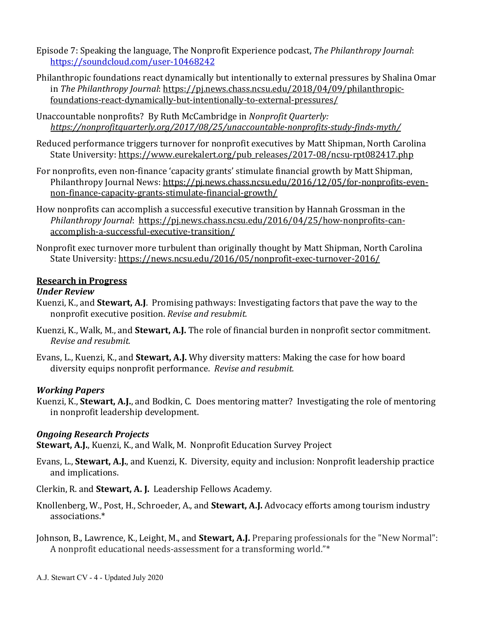- Episode 7: Speaking the language, The Nonprofit Experience podcast, *The Philanthropy Journal*: https://soundcloud.com/user-10468242
- Philanthropic foundations react dynamically but intentionally to external pressures by Shalina Omar in The Philanthropy Journal: https://pj.news.chass.ncsu.edu/2018/04/09/philanthropicfoundations-react-dynamically-but-intentionally-to-external-pressures/
- Unaccountable nonprofits? By Ruth McCambridge in *Nonprofit Quarterly: https://nonprofitquarterly.org/2017/08/25/unaccountable-nonprofits-study-finds-myth/*
- Reduced performance triggers turnover for nonprofit executives by Matt Shipman, North Carolina State University: https://www.eurekalert.org/pub\_releases/2017-08/ncsu-rpt082417.php
- For nonprofits, even non-finance 'capacity grants' stimulate financial growth by Matt Shipman, Philanthropy Journal News: https://pj.news.chass.ncsu.edu/2016/12/05/for-nonprofits-evennon-finance-capacity-grants-stimulate-financial-growth/
- How nonprofits can accomplish a successful executive transition by Hannah Grossman in the *Philanthropy Journal: https://pj.news.chass.ncsu.edu/2016/04/25/how-nonprofits-can*accomplish-a-successful-executive-transition/
- Nonprofit exec turnover more turbulent than originally thought by Matt Shipman, North Carolina State University: https://news.ncsu.edu/2016/05/nonprofit-exec-turnover-2016/

#### **Research in Progress**

#### *Under Review*

- Kuenzi, K., and **Stewart, A.J**. Promising pathways: Investigating factors that pave the way to the nonprofit executive position. *Revise and resubmit.*
- Kuenzi, K., Walk, M., and **Stewart, A.J.** The role of financial burden in nonprofit sector commitment. *Revise and resubmit.*
- Evans, L., Kuenzi, K., and **Stewart, A.J.** Why diversity matters: Making the case for how board diversity equips nonprofit performance. Revise and resubmit.

### *Working Papers*

Kuenzi, K., **Stewart, A.J.**, and Bodkin, C. Does mentoring matter? Investigating the role of mentoring in nonprofit leadership development.

### *Ongoing Research Projects*

**Stewart, A.J.**, Kuenzi, K., and Walk, M. Nonprofit Education Survey Project

- Evans, L., **Stewart, A.J.**, and Kuenzi, K. Diversity, equity and inclusion: Nonprofit leadership practice and implications.
- Clerkin, R. and **Stewart, A. J.** Leadership Fellows Academy.
- Knollenberg, W., Post, H., Schroeder, A., and **Stewart, A.J.** Advocacy efforts among tourism industry associations.\*
- Johnson, B., Lawrence, K., Leight, M., and **Stewart, A.J.** Preparing professionals for the "New Normal": A nonprofit educational needs-assessment for a transforming world."\*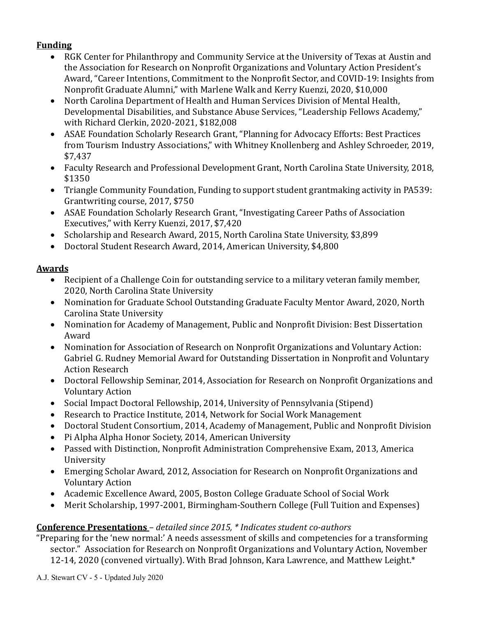### **Funding**

- RGK Center for Philanthropy and Community Service at the University of Texas at Austin and the Association for Research on Nonprofit Organizations and Voluntary Action President's Award, "Career Intentions, Commitment to the Nonprofit Sector, and COVID-19: Insights from Nonprofit Graduate Alumni," with Marlene Walk and Kerry Kuenzi, 2020, \$10,000
- North Carolina Department of Health and Human Services Division of Mental Health, Developmental Disabilities, and Substance Abuse Services, "Leadership Fellows Academy," with Richard Clerkin, 2020-2021, \$182,008
- ASAE Foundation Scholarly Research Grant, "Planning for Advocacy Efforts: Best Practices from Tourism Industry Associations," with Whitney Knollenberg and Ashley Schroeder, 2019, \$7,437
- Faculty Research and Professional Development Grant, North Carolina State University, 2018, \$1350
- Triangle Community Foundation, Funding to support student grantmaking activity in PA539: Grantwriting course, 2017, \$750
- ASAE Foundation Scholarly Research Grant, "Investigating Career Paths of Association Executives," with Kerry Kuenzi, 2017, \$7,420
- Scholarship and Research Award, 2015, North Carolina State University, \$3,899
- Doctoral Student Research Award, 2014, American University, \$4,800

### **Awards**

- Recipient of a Challenge Coin for outstanding service to a military veteran family member, 2020, North Carolina State University
- Nomination for Graduate School Outstanding Graduate Faculty Mentor Award, 2020, North Carolina State University
- Nomination for Academy of Management, Public and Nonprofit Division: Best Dissertation Award
- Nomination for Association of Research on Nonprofit Organizations and Voluntary Action: Gabriel G. Rudney Memorial Award for Outstanding Dissertation in Nonprofit and Voluntary **Action Research**
- Doctoral Fellowship Seminar, 2014, Association for Research on Nonprofit Organizations and Voluntary Action
- Social Impact Doctoral Fellowship, 2014, University of Pennsylvania (Stipend)
- Research to Practice Institute, 2014, Network for Social Work Management
- Doctoral Student Consortium, 2014, Academy of Management, Public and Nonprofit Division
- Pi Alpha Alpha Honor Society, 2014, American University
- Passed with Distinction, Nonprofit Administration Comprehensive Exam, 2013, America University
- Emerging Scholar Award, 2012, Association for Research on Nonprofit Organizations and Voluntary Action
- Academic Excellence Award, 2005, Boston College Graduate School of Social Work
- Merit Scholarship, 1997-2001, Birmingham-Southern College (Full Tuition and Expenses)

### **Conference Presentations** *– detailed since 2015, \* Indicates student co-authors*

"Preparing for the 'new normal:' A needs assessment of skills and competencies for a transforming sector." Association for Research on Nonprofit Organizations and Voluntary Action, November 12-14, 2020 (convened virtually). With Brad Johnson, Kara Lawrence, and Matthew Leight.\*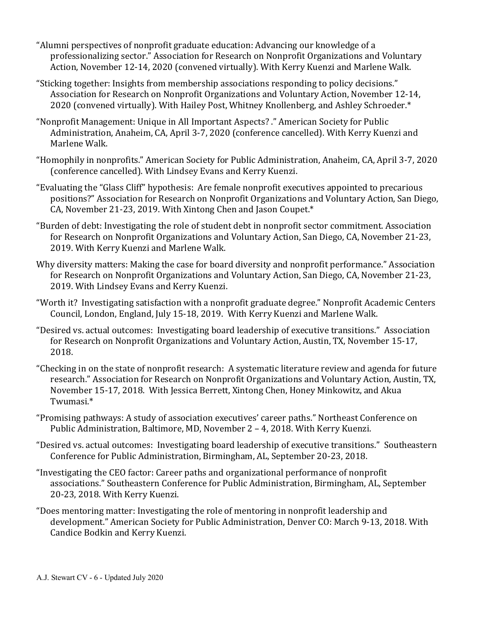- "Alumni perspectives of nonprofit graduate education: Advancing our knowledge of a professionalizing sector." Association for Research on Nonprofit Organizations and Voluntary Action, November 12-14, 2020 (convened virtually). With Kerry Kuenzi and Marlene Walk.
- "Sticking together: Insights from membership associations responding to policy decisions." Association for Research on Nonprofit Organizations and Voluntary Action, November 12-14, 2020 (convened virtually). With Hailey Post, Whitney Knollenberg, and Ashley Schroeder.\*
- "Nonprofit Management: Unique in All Important Aspects? ." American Society for Public Administration, Anaheim, CA, April 3-7, 2020 (conference cancelled). With Kerry Kuenzi and Marlene Walk.
- "Homophily in nonprofits." American Society for Public Administration, Anaheim, CA, April 3-7, 2020 (conference cancelled). With Lindsey Evans and Kerry Kuenzi.
- "Evaluating the "Glass Cliff" hypothesis: Are female nonprofit executives appointed to precarious positions?" Association for Research on Nonprofit Organizations and Voluntary Action, San Diego, CA, November 21-23, 2019. With Xintong Chen and Jason Coupet.\*
- "Burden of debt: Investigating the role of student debt in nonprofit sector commitment. Association for Research on Nonprofit Organizations and Voluntary Action, San Diego, CA, November 21-23, 2019. With Kerry Kuenzi and Marlene Walk.
- Why diversity matters: Making the case for board diversity and nonprofit performance." Association for Research on Nonprofit Organizations and Voluntary Action, San Diego, CA, November 21-23, 2019. With Lindsey Evans and Kerry Kuenzi.
- "Worth it? Investigating satisfaction with a nonprofit graduate degree." Nonprofit Academic Centers Council, London, England, July 15-18, 2019. With Kerry Kuenzi and Marlene Walk.
- "Desired vs. actual outcomes: Investigating board leadership of executive transitions." Association for Research on Nonprofit Organizations and Voluntary Action, Austin, TX, November 15-17, 2018.
- "Checking in on the state of nonprofit research: A systematic literature review and agenda for future research." Association for Research on Nonprofit Organizations and Voluntary Action, Austin, TX, November 15-17, 2018. With Jessica Berrett, Xintong Chen, Honey Minkowitz, and Akua Twumasi.\*
- "Promising pathways: A study of association executives' career paths." Northeast Conference on Public Administration, Baltimore, MD, November 2 - 4, 2018. With Kerry Kuenzi.
- "Desired vs. actual outcomes: Investigating board leadership of executive transitions." Southeastern Conference for Public Administration, Birmingham, AL, September 20-23, 2018.
- "Investigating the CEO factor: Career paths and organizational performance of nonprofit associations." Southeastern Conference for Public Administration, Birmingham, AL, September 20-23, 2018. With Kerry Kuenzi.
- "Does mentoring matter: Investigating the role of mentoring in nonprofit leadership and development." American Society for Public Administration, Denver CO: March 9-13, 2018. With Candice Bodkin and Kerry Kuenzi.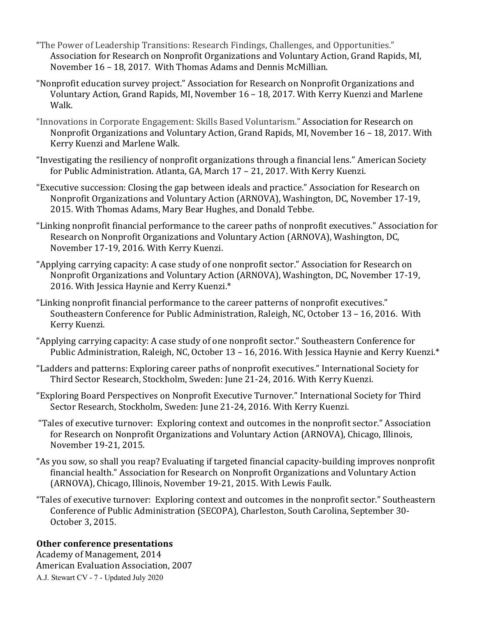- "The Power of Leadership Transitions: Research Findings, Challenges, and Opportunities." Association for Research on Nonprofit Organizations and Voluntary Action, Grand Rapids, MI, November 16 - 18, 2017. With Thomas Adams and Dennis McMillian.
- "Nonprofit education survey project." Association for Research on Nonprofit Organizations and Voluntary Action, Grand Rapids, MI, November 16 - 18, 2017. With Kerry Kuenzi and Marlene Walk.
- "Innovations in Corporate Engagement: Skills Based Voluntarism." Association for Research on Nonprofit Organizations and Voluntary Action, Grand Rapids, MI, November 16 - 18, 2017. With Kerry Kuenzi and Marlene Walk.
- "Investigating the resiliency of nonprofit organizations through a financial lens." American Society for Public Administration. Atlanta, GA, March 17 - 21, 2017. With Kerry Kuenzi.
- "Executive succession: Closing the gap between ideals and practice." Association for Research on Nonprofit Organizations and Voluntary Action (ARNOVA), Washington, DC, November 17-19, 2015. With Thomas Adams, Mary Bear Hughes, and Donald Tebbe.
- "Linking nonprofit financial performance to the career paths of nonprofit executives." Association for Research on Nonprofit Organizations and Voluntary Action (ARNOVA), Washington, DC, November 17-19, 2016. With Kerry Kuenzi.
- "Applying carrying capacity: A case study of one nonprofit sector." Association for Research on Nonprofit Organizations and Voluntary Action (ARNOVA), Washington, DC, November 17-19, 2016. With Jessica Haynie and Kerry Kuenzi.\*
- "Linking nonprofit financial performance to the career patterns of nonprofit executives." Southeastern Conference for Public Administration, Raleigh, NC, October 13 - 16, 2016. With Kerry Kuenzi.
- "Applying carrying capacity: A case study of one nonprofit sector." Southeastern Conference for Public Administration, Raleigh, NC, October 13 - 16, 2016. With Jessica Haynie and Kerry Kuenzi.\*
- "Ladders and patterns: Exploring career paths of nonprofit executives." International Society for Third Sector Research, Stockholm, Sweden: June 21-24, 2016. With Kerry Kuenzi.
- "Exploring Board Perspectives on Nonprofit Executive Turnover." International Society for Third Sector Research, Stockholm, Sweden: June 21-24, 2016. With Kerry Kuenzi.
- "Tales of executive turnover: Exploring context and outcomes in the nonprofit sector." Association for Research on Nonprofit Organizations and Voluntary Action (ARNOVA), Chicago, Illinois, November 19-21, 2015.
- "As you sow, so shall you reap? Evaluating if targeted financial capacity-building improves nonprofit financial health." Association for Research on Nonprofit Organizations and Voluntary Action (ARNOVA), Chicago, Illinois, November 19-21, 2015. With Lewis Faulk.
- "Tales of executive turnover: Exploring context and outcomes in the nonprofit sector." Southeastern Conference of Public Administration (SECOPA), Charleston, South Carolina, September 30-October 3, 2015.

### **Other conference presentations**

A.J. Stewart CV - 7 - Updated July 2020 Academy of Management, 2014 American Evaluation Association, 2007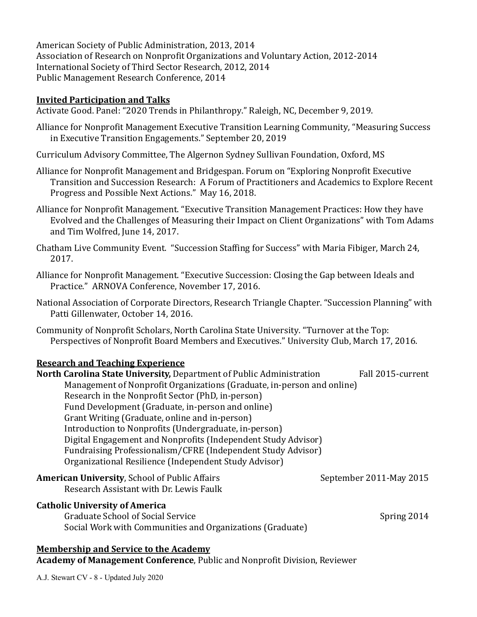American Society of Public Administration, 2013, 2014 Association of Research on Nonprofit Organizations and Voluntary Action, 2012-2014 International Society of Third Sector Research, 2012, 2014 Public Management Research Conference, 2014

#### **Invited Participation and Talks**

Activate Good. Panel: "2020 Trends in Philanthropy." Raleigh, NC, December 9, 2019.

- Alliance for Nonprofit Management Executive Transition Learning Community, "Measuring Success" in Executive Transition Engagements." September 20, 2019
- Curriculum Advisory Committee, The Algernon Sydney Sullivan Foundation, Oxford, MS
- Alliance for Nonprofit Management and Bridgespan. Forum on "Exploring Nonprofit Executive Transition and Succession Research: A Forum of Practitioners and Academics to Explore Recent Progress and Possible Next Actions." May 16, 2018.
- Alliance for Nonprofit Management. "Executive Transition Management Practices: How they have Evolved and the Challenges of Measuring their Impact on Client Organizations" with Tom Adams and Tim Wolfred, June 14, 2017.
- Chatham Live Community Event. "Succession Staffing for Success" with Maria Fibiger, March 24, 2017.
- Alliance for Nonprofit Management. "Executive Succession: Closing the Gap between Ideals and Practice." ARNOVA Conference, November 17, 2016.
- National Association of Corporate Directors, Research Triangle Chapter. "Succession Planning" with Patti Gillenwater, October 14, 2016.
- Community of Nonprofit Scholars, North Carolina State University. "Turnover at the Top: Perspectives of Nonprofit Board Members and Executives." University Club, March 17, 2016.

#### **Research and Teaching Experience**

| North Carolina State University, Department of Public Administration   | Fall 2015-current       |
|------------------------------------------------------------------------|-------------------------|
| Management of Nonprofit Organizations (Graduate, in-person and online) |                         |
| Research in the Nonprofit Sector (PhD, in-person)                      |                         |
| Fund Development (Graduate, in-person and online)                      |                         |
| Grant Writing (Graduate, online and in-person)                         |                         |
| Introduction to Nonprofits (Undergraduate, in-person)                  |                         |
| Digital Engagement and Nonprofits (Independent Study Advisor)          |                         |
| Fundraising Professionalism/CFRE (Independent Study Advisor)           |                         |
| Organizational Resilience (Independent Study Advisor)                  |                         |
| <b>American University, School of Public Affairs</b>                   | September 2011-May 2015 |
| Research Assistant with Dr. Lewis Faulk                                |                         |
| <b>Catholic University of America</b>                                  |                         |
| Craduato Cchool of Cocial Corruco                                      | Conning 2011            |

Graduate School of Social Service Spring 2014 Social Work with Communities and Organizations (Graduate)

#### **Membership and Service to the Academy**

**Academy of Management Conference**, Public and Nonprofit Division, Reviewer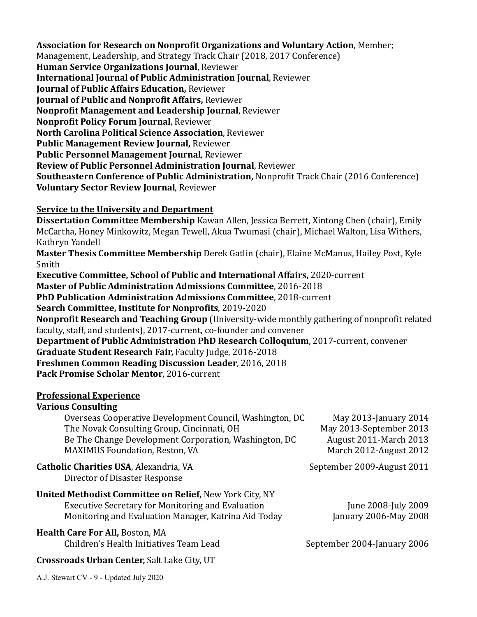#### **Association for Research on Nonprofit Organizations and Voluntary Action, Member;**

Management, Leadership, and Strategy Track Chair (2018, 2017 Conference)

**Human Service Organizations Journal**, Reviewer

**International Journal of Public Administration Journal, Reviewer** 

**Journal of Public Affairs Education, Reviewer** 

**Journal of Public and Nonprofit Affairs, Reviewer** 

**Nonprofit Management and Leadership Journal, Reviewer** 

**Nonprofit Policy Forum Journal, Reviewer** 

**North Carolina Political Science Association**, Reviewer

**Public Management Review Journal, Reviewer** 

**Public Personnel Management Journal, Reviewer** 

**Review of Public Personnel Administration Journal, Reviewer** 

**Southeastern Conference of Public Administration, Nonprofit Track Chair (2016 Conference) Voluntary Sector Review Journal, Reviewer** 

### **<u>Service to the University and Department</u>**

**Dissertation Committee Membership** Kawan Allen, Jessica Berrett, Xintong Chen (chair), Emily McCartha, Honey Minkowitz, Megan Tewell, Akua Twumasi (chair), Michael Walton, Lisa Withers, Kathryn Yandell

**Master Thesis Committee Membership** Derek Gatlin (chair), Elaine McManus, Hailey Post, Kyle Smith

**Executive Committee, School of Public and International Affairs, 2020-current** 

**Master of Public Administration Admissions Committee**, 2016-2018

**PhD Publication Administration Admissions Committee**, 2018-current

**Search Committee, Institute for Nonprofits**, 2019-2020

**Nonprofit Research and Teaching Group** (University-wide monthly gathering of nonprofit related faculty, staff, and students), 2017-current, co-founder and convener

**Department of Public Administration PhD Research Colloquium, 2017-current, convener Graduate Student Research Fair, Faculty Judge, 2016-2018 Freshmen Common Reading Discussion Leader**, 2016, 2018 **Pack Promise Scholar Mentor**, 2016-current

### **Professional Experience**

### **Various Consulting**

| Overseas Cooperative Development Council, Washington, DC | May 2013-January 2014         |
|----------------------------------------------------------|-------------------------------|
| The Novak Consulting Group, Cincinnati, OH               | May 2013-September 2013       |
| Be The Change Development Corporation, Washington, DC    | <b>August 2011-March 2013</b> |
| <b>MAXIMUS Foundation, Reston, VA</b>                    | March 2012-August 2012        |
| Catholic Charities USA, Alexandria, VA                   | September 2009-August 2011    |

Director of Disaster Response

#### **United Methodist Committee on Relief, New York City, NY** Executive Secretary for Monitoring and Evaluation June 2008-July 2009 Monitoring and Evaluation Manager, Katrina Aid Today **January 2006-May 2008**

### **Health Care For All, Boston, MA**

Children's Health Initiatives Team Lead September 2004-January 2006

**Crossroads Urban Center, Salt Lake City, UT**